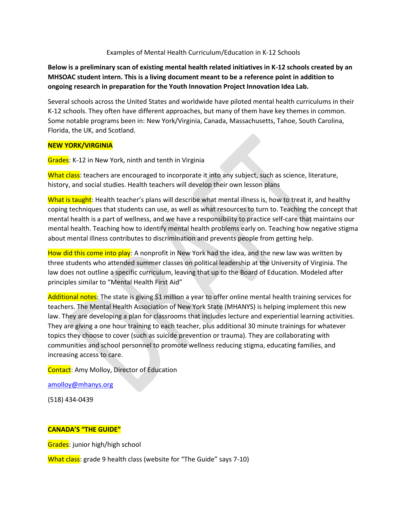#### Examples of Mental Health Curriculum/Education in K-12 Schools

**Below is a preliminary scan of existing mental health related initiatives in K-12 schools created by an MHSOAC student intern. This is a living document meant to be a reference point in addition to ongoing research in preparation for the Youth Innovation Project Innovation Idea Lab.**

Several schools across the United States and worldwide have piloted mental health curriculums in their K-12 schools. They often have different approaches, but many of them have key themes in common. Some notable programs been in: New York/Virginia, Canada, Massachusetts, Tahoe, South Carolina, Florida, the UK, and Scotland.

#### **NEW YORK/VIRGINIA**

Grades: K-12 in New York, ninth and tenth in Virginia

What class: teachers are encouraged to incorporate it into any subject, such as science, literature, history, and social studies. Health teachers will develop their own lesson plans

What is taught: Health teacher's plans will describe what mental illness is, how to treat it, and healthy coping techniques that students can use, as well as what resources to turn to. Teaching the concept that mental health is a part of wellness, and we have a responsibility to practice self-care that maintains our mental health. Teaching how to identify mental health problems early on. Teaching how negative stigma about mental illness contributes to discrimination and prevents people from getting help.

How did this come into play: A nonprofit in New York had the idea, and the new law was written by three students who attended summer classes on political leadership at the University of Virginia. The law does not outline a specific curriculum, leaving that up to the Board of Education. Modeled after principles similar to "Mental Health First Aid"

Additional notes: The state is giving \$1 million a year to offer online mental health training services for teachers. The Mental Health Association of New York State (MHANYS) is helping implement this new law. They are developing a plan for classrooms that includes lecture and experiential learning activities. They are giving a one hour training to each teacher, plus additional 30 minute trainings for whatever topics they choose to cover (such as suicide prevention or trauma). They are collaborating with communities and school personnel to promote wellness reducing stigma, educating families, and increasing access to care.

Contact: Amy Molloy, Director of Education

[amolloy@mhanys.org](mailto:amolloy@mhanys.org)

(518) 434-0439

#### **CANADA'S "THE GUIDE"**

Grades: junior high/high school

What class: grade 9 health class (website for "The Guide" says 7-10)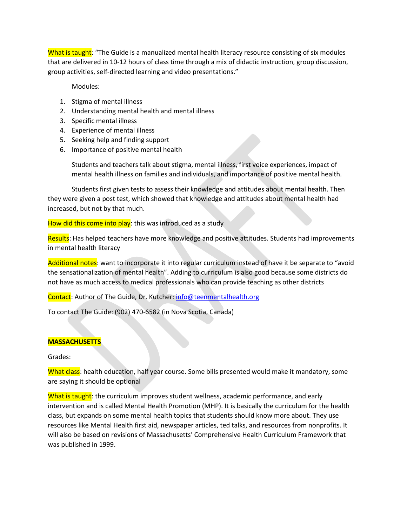What is taught: "The Guide is a manualized mental health literacy resource consisting of six modules that are delivered in 10-12 hours of class time through a mix of didactic instruction, group discussion, group activities, self-directed learning and video presentations."

Modules:

- 1. Stigma of mental illness
- 2. Understanding mental health and mental illness
- 3. Specific mental illness
- 4. Experience of mental illness
- 5. Seeking help and finding support
- 6. Importance of positive mental health

Students and teachers talk about stigma, mental illness, first voice experiences, impact of mental health illness on families and individuals, and importance of positive mental health.

Students first given tests to assess their knowledge and attitudes about mental health. Then they were given a post test, which showed that knowledge and attitudes about mental health had increased, but not by that much.

How did this come into play: this was introduced as a study

Results: Has helped teachers have more knowledge and positive attitudes. Students had improvements in mental health literacy

Additional notes: want to incorporate it into regular curriculum instead of have it be separate to "avoid the sensationalization of mental health". Adding to curriculum is also good because some districts do not have as much access to medical professionals who can provide teaching as other districts

Contact: Author of The Guide, Dr. Kutcher[: info@teenmentalhealth.org](mailto:info@teenmentalhealth.org)

To contact The Guide: (902) 470-6582 (in Nova Scotia, Canada)

### **MASSACHUSETTS**

Grades:

What class: health education, half year course. Some bills presented would make it mandatory, some are saying it should be optional

What is taught: the curriculum improves student wellness, academic performance, and early intervention and is called Mental Health Promotion (MHP). It is basically the curriculum for the health class, but expands on some mental health topics that students should know more about. They use resources like Mental Health first aid, newspaper articles, ted talks, and resources from nonprofits. It will also be based on revisions of Massachusetts' Comprehensive Health Curriculum Framework that was published in 1999.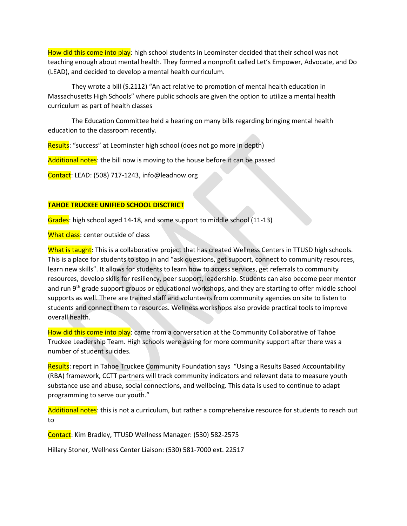How did this come into play: high school students in Leominster decided that their school was not teaching enough about mental health. They formed a nonprofit called Let's Empower, Advocate, and Do (LEAD), and decided to develop a mental health curriculum.

They wrote a bill (S.2112) "An act relative to promotion of mental health education in Massachusetts High Schools" where public schools are given the option to utilize a mental health curriculum as part of health classes

The Education Committee held a hearing on many bills regarding bringing mental health education to the classroom recently.

Results: "success" at Leominster high school (does not go more in depth)

Additional notes: the bill now is moving to the house before it can be passed

Contact: LEAD: (508) 717-1243, info@leadnow.org

### **TAHOE TRUCKEE UNIFIED SCHOOL DISCTRICT**

Grades: high school aged 14-18, and some support to middle school (11-13)

What class: center outside of class

What is taught: This is a collaborative project that has created Wellness Centers in TTUSD high schools. This is a place for students to stop in and "ask questions, get support, connect to community resources, learn new skills". It allows for students to learn how to access services, get referrals to community resources, develop skills for resiliency, peer support, leadership. Students can also become peer mentor and run 9<sup>th</sup> grade support groups or educational workshops, and they are starting to offer middle school supports as well. There are trained staff and volunteers from community agencies on site to listen to students and connect them to resources. Wellness workshops also provide practical tools to improve overall health.

How did this come into play: came from a conversation at the Community Collaborative of Tahoe Truckee Leadership Team. High schools were asking for more community support after there was a number of student suicides.

Results: report in Tahoe Truckee Community Foundation says "Using a Results Based Accountability (RBA) framework, CCTT partners will track community indicators and relevant data to measure youth substance use and abuse, social connections, and wellbeing. This data is used to continue to adapt programming to serve our youth."

Additional notes: this is not a curriculum, but rather a comprehensive resource for students to reach out to

Contact: Kim Bradley, TTUSD Wellness Manager: (530) 582-2575

Hillary Stoner, Wellness Center Liaison: (530) 581-7000 ext. 22517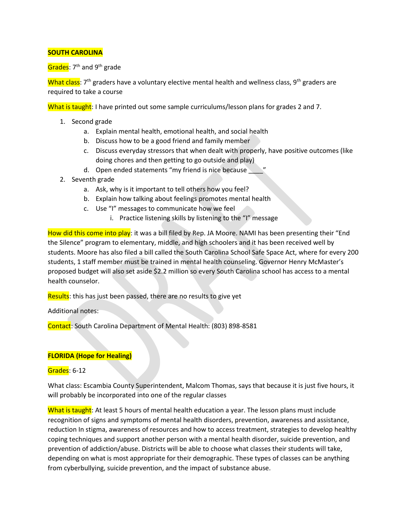# **SOUTH CAROLINA**

Grades: 7<sup>th</sup> and 9<sup>th</sup> grade

What class:  $7<sup>th</sup>$  graders have a voluntary elective mental health and wellness class, 9<sup>th</sup> graders are required to take a course

What is taught: I have printed out some sample curriculums/lesson plans for grades 2 and 7.

- 1. Second grade
	- a. Explain mental health, emotional health, and social health
	- b. Discuss how to be a good friend and family member
	- c. Discuss everyday stressors that when dealt with properly, have positive outcomes (like doing chores and then getting to go outside and play)
	- d. Open ended statements "my friend is nice because
- 2. Seventh grade
	- a. Ask, why is it important to tell others how you feel?
	- b. Explain how talking about feelings promotes mental health
	- c. Use "I" messages to communicate how we feel
		- i. Practice listening skills by listening to the "I" message

How did this come into play: it was a bill filed by Rep. JA Moore. NAMI has been presenting their "End the Silence" program to elementary, middle, and high schoolers and it has been received well by students. Moore has also filed a bill called the South Carolina School Safe Space Act, where for every 200 students, 1 staff member must be trained in mental health counseling. Governor Henry McMaster's proposed budget will also set aside \$2.2 million so every South Carolina school has access to a mental health counselor.

Results: this has just been passed, there are no results to give yet

Additional notes:

Contact: South Carolina Department of Mental Health: (803) 898-8581

### **FLORIDA (Hope for Healing)**

### Grades: 6-12

What class: Escambia County Superintendent, Malcom Thomas, says that because it is just five hours, it will probably be incorporated into one of the regular classes

What is taught: At least 5 hours of mental health education a year. The lesson plans must include recognition of signs and symptoms of mental health disorders, prevention, awareness and assistance, reduction In stigma, awareness of resources and how to access treatment, strategies to develop healthy coping techniques and support another person with a mental health disorder, suicide prevention, and prevention of addiction/abuse. Districts will be able to choose what classes their students will take, depending on what is most appropriate for their demographic. These types of classes can be anything from cyberbullying, suicide prevention, and the impact of substance abuse.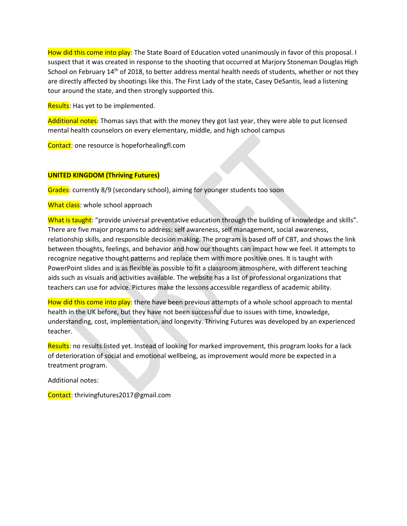How did this come into play: The State Board of Education voted unanimously in favor of this proposal. I suspect that it was created in response to the shooting that occurred at Marjory Stoneman Douglas High School on February 14<sup>th</sup> of 2018, to better address mental health needs of students, whether or not they are directly affected by shootings like this. The First Lady of the state, Casey DeSantis, lead a listening tour around the state, and then strongly supported this.

Results: Has yet to be implemented.

Additional notes: Thomas says that with the money they got last year, they were able to put licensed mental health counselors on every elementary, middle, and high school campus

Contact: one resource is hopeforhealingfl.com

## **UNITED KINGDOM (Thriving Futures)**

Grades: currently 8/9 (secondary school), aiming for younger students too soon

What class: whole school approach

What is taught: "provide universal preventative education through the building of knowledge and skills". There are five major programs to address: self awareness, self management, social awareness, relationship skills, and responsible decision making. The program is based off of CBT, and shows the link between thoughts, feelings, and behavior and how our thoughts can impact how we feel. It attempts to recognize negative thought patterns and replace them with more positive ones. It is taught with PowerPoint slides and is as flexible as possible to fit a classroom atmosphere, with different teaching aids such as visuals and activities available. The website has a list of professional organizations that teachers can use for advice. Pictures make the lessons accessible regardless of academic ability.

How did this come into play: there have been previous attempts of a whole school approach to mental health in the UK before, but they have not been successful due to issues with time, knowledge, understanding, cost, implementation, and longevity. Thriving Futures was developed by an experienced teacher.

Results: no results listed yet. Instead of looking for marked improvement, this program looks for a lack of deterioration of social and emotional wellbeing, as improvement would more be expected in a treatment program.

Additional notes:

Contact: thrivingfutures2017@gmail.com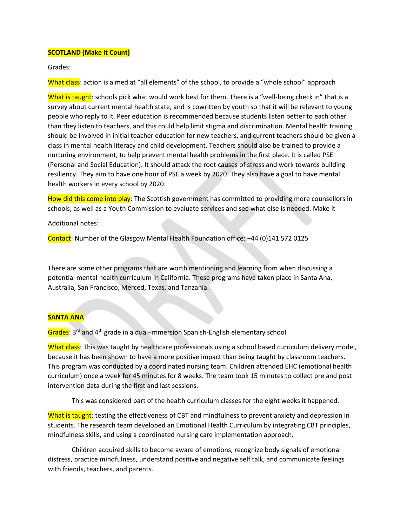### **SCOTLAND (Make it Count)**

Grades:

What class: action is aimed at "all elements" of the school, to provide a "whole school" approach

What is taught: schools pick what would work best for them. There is a "well-being check in" that is a survey about current mental health state, and is cowritten by youth so that it will be relevant to young people who reply to it. Peer education is recommended because students listen better to each other than they listen to teachers, and this could help limit stigma and discrimination. Mental health training should be involved in initial teacher education for new teachers, and current teachers should be given a class in mental health literacy and child development. Teachers should also be trained to provide a nurturing environment, to help prevent mental health problems in the first place. It is called PSE (Personal and Social Education). It should attack the root causes of stress and work towards building resiliency. They aim to have one hour of PSE a week by 2020. They also have a goal to have mental health workers in every school by 2020.

How did this come into play: The Scottish government has committed to providing more counsellors in schools, as well as a Youth Commission to evaluate services and see what else is needed. Make it

Additional notes:

Contact: Number of the Glasgow Mental Health Foundation office: +44 (0)141 572 0125

There are some other programs that are worth mentioning and learning from when discussing a potential mental health curriculum in California. These programs have taken place in Santa Ana, Australia, San Francisco, Merced, Texas, and Tanzania.

#### **SANTA ANA**

Grades: 3<sup>rd</sup> and 4<sup>th</sup> grade in a dual-immersion Spanish-English elementary school

What class: This was taught by healthcare professionals using a school based curriculum delivery model, because it has been shown to have a more positive impact than being taught by classroom teachers. This program was conducted by a coordinated nursing team. Children attended EHC (emotional health curriculum) once a week for 45 minutes for 8 weeks. The team took 15 minutes to collect pre and post intervention data during the first and last sessions.

This was considered part of the health curriculum classes for the eight weeks it happened.

What is taught: testing the effectiveness of CBT and mindfulness to prevent anxiety and depression in students. The research team developed an Emotional Health Curriculum by integrating CBT principles, mindfulness skills, and using a coordinated nursing care implementation approach.

Children acquired skills to become aware of emotions, recognize body signals of emotional distress, practice mindfulness, understand positive and negative self talk, and communicate feelings with friends, teachers, and parents.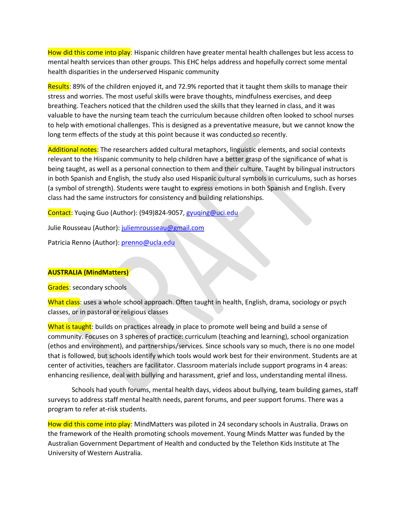How did this come into play: Hispanic children have greater mental health challenges but less access to mental health services than other groups. This EHC helps address and hopefully correct some mental health disparities in the underserved Hispanic community

Results: 89% of the children enjoyed it, and 72.9% reported that it taught them skills to manage their stress and worries. The most useful skills were brave thoughts, mindfulness exercises, and deep breathing. Teachers noticed that the children used the skills that they learned in class, and it was valuable to have the nursing team teach the curriculum because children often looked to school nurses to help with emotional challenges. This is designed as a preventative measure, but we cannot know the long term effects of the study at this point because it was conducted so recently.

Additional notes: The researchers added cultural metaphors, linguistic elements, and social contexts relevant to the Hispanic community to help children have a better grasp of the significance of what is being taught, as well as a personal connection to them and their culture. Taught by bilingual instructors in both Spanish and English, the study also used Hispanic cultural symbols in curriculums, such as horses (a symbol of strength). Students were taught to express emotions in both Spanish and English. Every class had the same instructors for consistency and building relationships.

Contact: Yuqing Guo (Author): (949)824-9057[, gyuqing@uci.edu](mailto:gyuqing@uci.edu)

Julie Rousseau (Author): [juliemrousseau@gmail.com](mailto:juliemrousseau@gmail.com)

Patricia Renno (Author)[: prenno@ucla.edu](mailto:prenno@ucla.edu)

#### **AUSTRALIA (MindMatters)**

Grades: secondary schools

What class: uses a whole school approach. Often taught in health, English, drama, sociology or psych classes, or in pastoral or religious classes

What is taught: builds on practices already in place to promote well being and build a sense of community. Focuses on 3 spheres of practice: curriculum (teaching and learning), school organization (ethos and environment), and partnerships/services. Since schools vary so much, there is no one model that is followed, but schools identify which tools would work best for their environment. Students are at center of activities, teachers are facilitator. Classroom materials include support programs in 4 areas: enhancing resilience, deal with bullying and harassment, grief and loss, understanding mental illness.

Schools had youth forums, mental health days, videos about bullying, team building games, staff surveys to address staff mental health needs, parent forums, and peer support forums. There was a program to refer at-risk students.

How did this come into play: MindMatters was piloted in 24 secondary schools in Australia. Draws on the framework of the Health promoting schools movement. Young Minds Matter was funded by the Australian Government Department of Health and conducted by the Telethon Kids Institute at The University of Western Australia.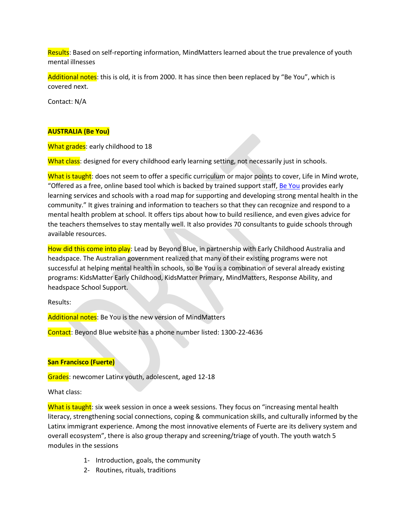Results: Based on self-reporting information, MindMatters learned about the true prevalence of youth mental illnesses

Additional notes: this is old, it is from 2000. It has since then been replaced by "Be You", which is covered next.

Contact: N/A

### **AUSTRALIA (Be You)**

What grades: early childhood to 18

What class: designed for every childhood early learning setting, not necessarily just in schools.

What is taught: does not seem to offer a specific curriculum or major points to cover, Life in Mind wrote, "Offered as a free, online based tool which is backed by trained support staff, [Be You](https://beyou.edu.au/) provides early learning services and schools with a road map for supporting and developing strong mental health in the community." It gives training and information to teachers so that they can recognize and respond to a mental health problem at school. It offers tips about how to build resilience, and even gives advice for the teachers themselves to stay mentally well. It also provides 70 consultants to guide schools through available resources.

How did this come into play: Lead by Beyond Blue, in partnership with Early Childhood Australia and headspace. The Australian government realized that many of their existing programs were not successful at helping mental health in schools, so Be You is a combination of several already existing programs: KidsMatter Early Childhood, KidsMatter Primary, MindMatters, Response Ability, and headspace School Support.

Results:

Additional notes: Be You is the new version of MindMatters

Contact: Beyond Blue website has a phone number listed: 1300-22-4636

### **San Francisco (Fuerte)**

Grades: newcomer Latinx youth, adolescent, aged 12-18

What class:

What is taught: six week session in once a week sessions. They focus on "increasing mental health literacy, strengthening social connections, coping & communication skills, and culturally informed by the Latinx immigrant experience. Among the most innovative elements of Fuerte are its delivery system and overall ecosystem", there is also group therapy and screening/triage of youth. The youth watch 5 modules in the sessions

- 1- Introduction, goals, the community
- 2- Routines, rituals, traditions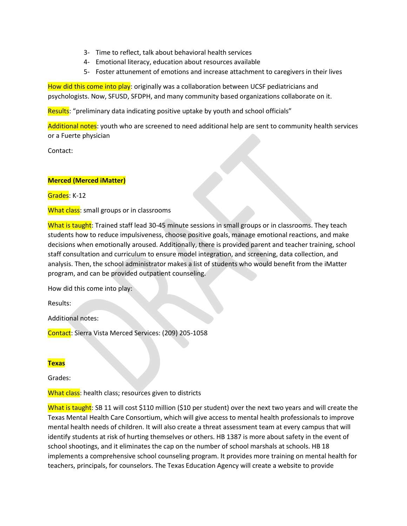- 3- Time to reflect, talk about behavioral health services
- 4- Emotional literacy, education about resources available
- 5- Foster attunement of emotions and increase attachment to caregivers in their lives

How did this come into play: originally was a collaboration between UCSF pediatricians and psychologists. Now, SFUSD, SFDPH, and many community based organizations collaborate on it.

Results: "preliminary data indicating positive uptake by youth and school officials"

Additional notes: youth who are screened to need additional help are sent to community health services or a Fuerte physician

Contact:

## **Merced (Merced iMatter)**

Grades: K-12

What class: small groups or in classrooms

What is taught: Trained staff lead 30-45 minute sessions in small groups or in classrooms. They teach students how to reduce impulsiveness, choose positive goals, manage emotional reactions, and make decisions when emotionally aroused. Additionally, there is provided parent and teacher training, school staff consultation and curriculum to ensure model integration, and screening, data collection, and analysis. Then, the school administrator makes a list of students who would benefit from the iMatter program, and can be provided outpatient counseling.

How did this come into play:

Results:

Additional notes:

Contact: Sierra Vista Merced Services: (209) 205-1058

# **Texas**

Grades:

What class: health class; resources given to districts

What is taught: SB 11 will cost \$110 million (\$10 per student) over the next two years and will create the Texas Mental Health Care Consortium, which will give access to mental health professionals to improve mental health needs of children. It will also create a threat assessment team at every campus that will identify students at risk of hurting themselves or others. HB 1387 is more about safety in the event of school shootings, and it eliminates the cap on the number of school marshals at schools. HB 18 implements a comprehensive school counseling program. It provides more training on mental health for teachers, principals, for counselors. The Texas Education Agency will create a website to provide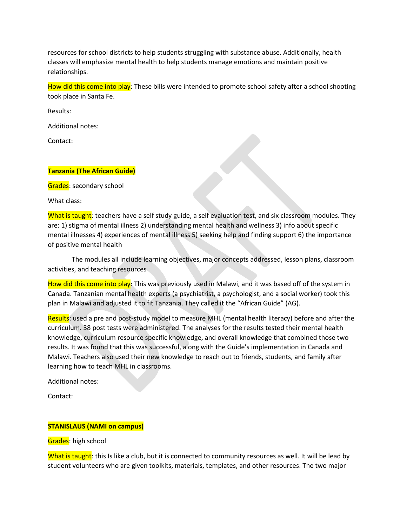resources for school districts to help students struggling with substance abuse. Additionally, health classes will emphasize mental health to help students manage emotions and maintain positive relationships.

How did this come into play: These bills were intended to promote school safety after a school shooting took place in Santa Fe.

Results:

Additional notes:

Contact:

#### **Tanzania (The African Guide)**

Grades: secondary school

What class:

What is taught: teachers have a self study guide, a self evaluation test, and six classroom modules. They are: 1) stigma of mental illness 2) understanding mental health and wellness 3) info about specific mental illnesses 4) experiences of mental illness 5) seeking help and finding support 6) the importance of positive mental health

The modules all include learning objectives, major concepts addressed, lesson plans, classroom activities, and teaching resources

How did this come into play: This was previously used in Malawi, and it was based off of the system in Canada. Tanzanian mental health experts (a psychiatrist, a psychologist, and a social worker) took this plan in Malawi and adjusted it to fit Tanzania. They called it the "African Guide" (AG).

Results: used a pre and post-study model to measure MHL (mental health literacy) before and after the curriculum. 38 post tests were administered. The analyses for the results tested their mental health knowledge, curriculum resource specific knowledge, and overall knowledge that combined those two results. It was found that this was successful, along with the Guide's implementation in Canada and Malawi. Teachers also used their new knowledge to reach out to friends, students, and family after learning how to teach MHL in classrooms.

Additional notes:

Contact:

#### **STANISLAUS (NAMI on campus)**

Grades: high school

What is taught: this Is like a club, but it is connected to community resources as well. It will be lead by student volunteers who are given toolkits, materials, templates, and other resources. The two major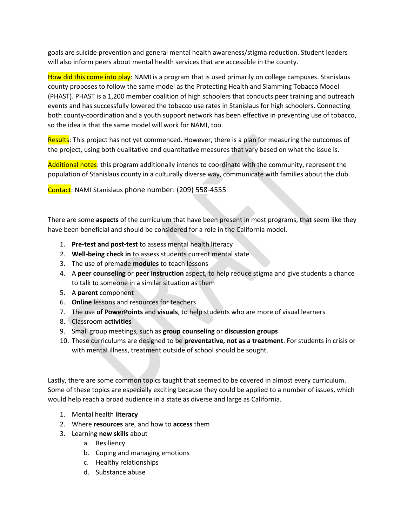goals are suicide prevention and general mental health awareness/stigma reduction. Student leaders will also inform peers about mental health services that are accessible in the county.

How did this come into play: NAMI is a program that is used primarily on college campuses. Stanislaus county proposes to follow the same model as the Protecting Health and Slamming Tobacco Model (PHAST). PHAST is a 1,200 member coalition of high schoolers that conducts peer training and outreach events and has successfully lowered the tobacco use rates in Stanislaus for high schoolers. Connecting both county-coordination and a youth support network has been effective in preventing use of tobacco, so the idea is that the same model will work for NAMI, too.

Results: This project has not yet commenced. However, there is a plan for measuring the outcomes of the project, using both qualitative and quantitative measures that vary based on what the issue is.

Additional notes: this program additionally intends to coordinate with the community, represent the population of Stanislaus county in a culturally diverse way, communicate with families about the club.

Contact: NAMI Stanislaus phone number: (209) 558-4555

There are some **aspects** of the curriculum that have been present in most programs, that seem like they have been beneficial and should be considered for a role in the California model.

- 1. **Pre-test and post-test** to assess mental health literacy
- 2. **Well-being check in** to assess students current mental state
- 3. The use of premade **modules** to teach lessons
- 4. A **peer counseling** or **peer instruction** aspect, to help reduce stigma and give students a chance to talk to someone in a similar situation as them
- 5. A **parent** component
- 6. **Online** lessons and resources for teachers
- 7. The use **of PowerPoints** and **visuals**, to help students who are more of visual learners
- 8. Classroom **activities**
- 9. Small group meetings, such as **group counseling** or **discussion groups**
- 10. These curriculums are designed to be **preventative, not as a treatment**. For students in crisis or with mental illness, treatment outside of school should be sought.

Lastly, there are some common topics taught that seemed to be covered in almost every curriculum. Some of these topics are especially exciting because they could be applied to a number of issues, which would help reach a broad audience in a state as diverse and large as California.

- 1. Mental health **literacy**
- 2. Where **resources** are, and how to **access** them
- 3. Learning **new skills** about
	- a. Resiliency
	- b. Coping and managing emotions
	- c. Healthy relationships
	- d. Substance abuse